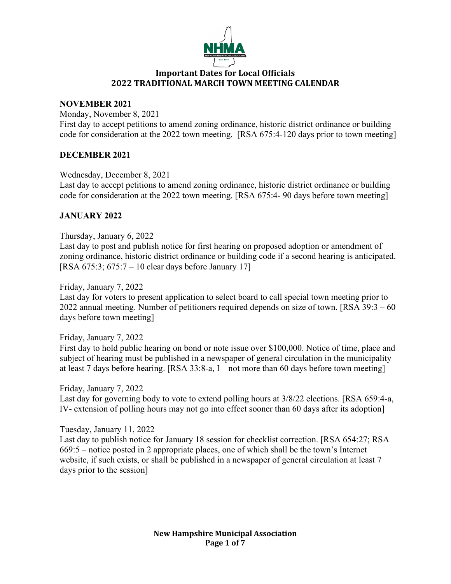

### **NOVEMBER 2021**

Monday, November 8, 2021

First day to accept petitions to amend zoning ordinance, historic district ordinance or building code for consideration at the 2022 town meeting. [RSA 675:4-120 days prior to town meeting]

## **DECEMBER 2021**

Wednesday, December 8, 2021

Last day to accept petitions to amend zoning ordinance, historic district ordinance or building code for consideration at the 2022 town meeting. [RSA 675:4- 90 days before town meeting]

## **JANUARY 2022**

## Thursday, January 6, 2022

Last day to post and publish notice for first hearing on proposed adoption or amendment of zoning ordinance, historic district ordinance or building code if a second hearing is anticipated. [RSA 675:3; 675:7 – 10 clear days before January 17]

Friday, January 7, 2022

Last day for voters to present application to select board to call special town meeting prior to 2022 annual meeting. Number of petitioners required depends on size of town. [RSA 39:3 – 60 days before town meeting]

Friday, January 7, 2022 First day to hold public hearing on bond or note issue over \$100,000. Notice of time, place and subject of hearing must be published in a newspaper of general circulation in the municipality at least 7 days before hearing. [RSA 33:8-a, I – not more than 60 days before town meeting]

Friday, January 7, 2022 Last day for governing body to vote to extend polling hours at 3/8/22 elections. [RSA 659:4-a, IV- extension of polling hours may not go into effect sooner than 60 days after its adoption]

Tuesday, January 11, 2022

Last day to publish notice for January 18 session for checklist correction. [RSA 654:27; RSA 669:5 – notice posted in 2 appropriate places, one of which shall be the town's Internet website, if such exists, or shall be published in a newspaper of general circulation at least 7 days prior to the session]

> **New Hampshire Municipal Association Page 1 of 7**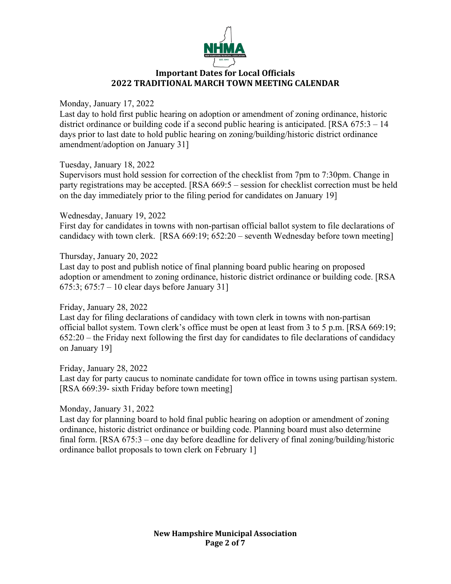

Monday, January 17, 2022

Last day to hold first public hearing on adoption or amendment of zoning ordinance, historic district ordinance or building code if a second public hearing is anticipated. [RSA 675:3 – 14] days prior to last date to hold public hearing on zoning/building/historic district ordinance amendment/adoption on January 31]

Tuesday, January 18, 2022

Supervisors must hold session for correction of the checklist from 7pm to 7:30pm. Change in party registrations may be accepted. [RSA 669:5 – session for checklist correction must be held on the day immediately prior to the filing period for candidates on January 19]

Wednesday, January 19, 2022

First day for candidates in towns with non-partisan official ballot system to file declarations of candidacy with town clerk. [RSA 669:19; 652:20 – seventh Wednesday before town meeting]

Thursday, January 20, 2022

Last day to post and publish notice of final planning board public hearing on proposed adoption or amendment to zoning ordinance, historic district ordinance or building code. [RSA 675:3; 675:7 – 10 clear days before January 31]

## Friday, January 28, 2022

Last day for filing declarations of candidacy with town clerk in towns with non-partisan official ballot system. Town clerk's office must be open at least from 3 to 5 p.m. [RSA 669:19; 652:20 – the Friday next following the first day for candidates to file declarations of candidacy on January 19]

Friday, January 28, 2022

Last day for party caucus to nominate candidate for town office in towns using partisan system. [RSA 669:39- sixth Friday before town meeting]

Monday, January 31, 2022

Last day for planning board to hold final public hearing on adoption or amendment of zoning ordinance, historic district ordinance or building code. Planning board must also determine final form. [RSA 675:3 – one day before deadline for delivery of final zoning/building/historic ordinance ballot proposals to town clerk on February 1]

> **New Hampshire Municipal Association Page 2 of 7**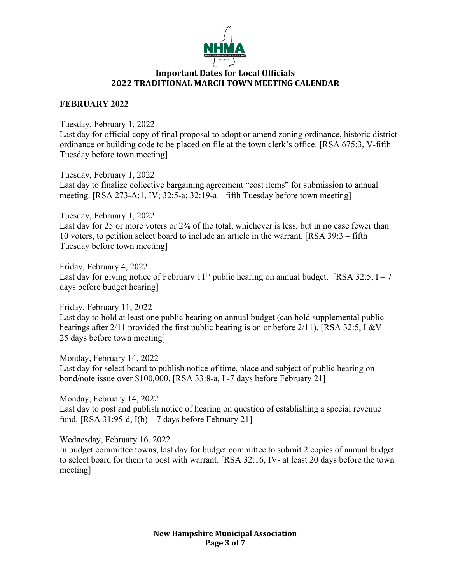

## **FEBRUARY 2022**

Tuesday, February 1, 2022 Last day for official copy of final proposal to adopt or amend zoning ordinance, historic district ordinance or building code to be placed on file at the town clerk's office. [RSA 675:3, V-fifth Tuesday before town meeting]

Tuesday, February 1, 2022 Last day to finalize collective bargaining agreement "cost items" for submission to annual meeting. [RSA 273-A:1, IV; 32:5-a; 32:19-a – fifth Tuesday before town meeting]

Tuesday, February 1, 2022 Last day for 25 or more voters or 2% of the total, whichever is less, but in no case fewer than 10 voters, to petition select board to include an article in the warrant. [RSA 39:3 – fifth Tuesday before town meeting]

Friday, February 4, 2022 Last day for giving notice of February  $11<sup>th</sup>$  public hearing on annual budget. [RSA 32:5, I – 7 days before budget hearing]

Friday, February 11, 2022 Last day to hold at least one public hearing on annual budget (can hold supplemental public hearings after 2/11 provided the first public hearing is on or before 2/11). [RSA 32:5, I &V – 25 days before town meeting]

Monday, February 14, 2022 Last day for select board to publish notice of time, place and subject of public hearing on bond/note issue over \$100,000. [RSA 33:8-a, I -7 days before February 21]

Monday, February 14, 2022 Last day to post and publish notice of hearing on question of establishing a special revenue fund. [RSA 31:95-d,  $I(b) - 7$  days before February 21]

Wednesday, February 16, 2022

In budget committee towns, last day for budget committee to submit 2 copies of annual budget to select board for them to post with warrant. [RSA 32:16, IV- at least 20 days before the town meeting]

> **New Hampshire Municipal Association Page 3 of 7**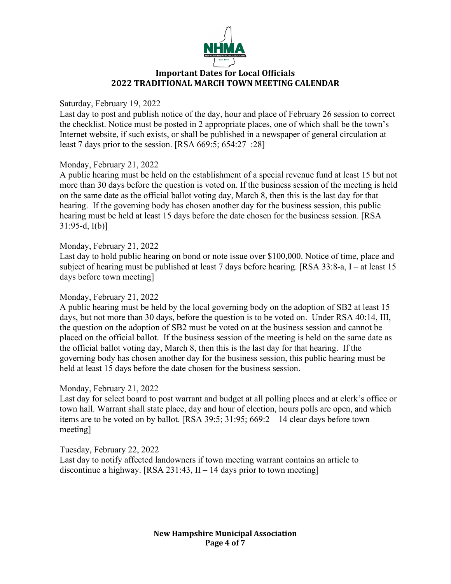

### Saturday, February 19, 2022

Last day to post and publish notice of the day, hour and place of February 26 session to correct the checklist. Notice must be posted in 2 appropriate places, one of which shall be the town's Internet website, if such exists, or shall be published in a newspaper of general circulation at least 7 days prior to the session. [RSA 669:5; 654:27–:28]

## Monday, February 21, 2022

A public hearing must be held on the establishment of a special revenue fund at least 15 but not more than 30 days before the question is voted on. If the business session of the meeting is held on the same date as the official ballot voting day, March 8, then this is the last day for that hearing. If the governing body has chosen another day for the business session, this public hearing must be held at least 15 days before the date chosen for the business session. [RSA 31:95-d, I(b)]

#### Monday, February 21, 2022

Last day to hold public hearing on bond or note issue over \$100,000. Notice of time, place and subject of hearing must be published at least 7 days before hearing. [RSA 33:8-a, I – at least 15 days before town meeting]

#### Monday, February 21, 2022

A public hearing must be held by the local governing body on the adoption of SB2 at least 15 days, but not more than 30 days, before the question is to be voted on. Under RSA 40:14, III, the question on the adoption of SB2 must be voted on at the business session and cannot be placed on the official ballot. If the business session of the meeting is held on the same date as the official ballot voting day, March 8, then this is the last day for that hearing. If the governing body has chosen another day for the business session, this public hearing must be held at least 15 days before the date chosen for the business session.

#### Monday, February 21, 2022

Last day for select board to post warrant and budget at all polling places and at clerk's office or town hall. Warrant shall state place, day and hour of election, hours polls are open, and which items are to be voted on by ballot. [RSA 39:5; 31:95; 669:2 – 14 clear days before town meeting]

## Tuesday, February 22, 2022

Last day to notify affected landowners if town meeting warrant contains an article to discontinue a highway. [RSA 231:43,  $II - 14$  days prior to town meeting]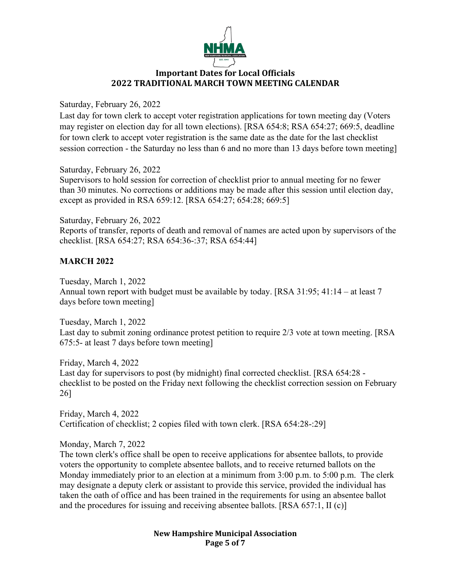

Saturday, February 26, 2022

Last day for town clerk to accept voter registration applications for town meeting day (Voters may register on election day for all town elections). [RSA 654:8; RSA 654:27; 669:5, deadline for town clerk to accept voter registration is the same date as the date for the last checklist session correction - the Saturday no less than 6 and no more than 13 days before town meeting]

Saturday, February 26, 2022 Supervisors to hold session for correction of checklist prior to annual meeting for no fewer than 30 minutes. No corrections or additions may be made after this session until election day, except as provided in RSA 659:12. [RSA 654:27; 654:28; 669:5]

Saturday, February 26, 2022 Reports of transfer, reports of death and removal of names are acted upon by supervisors of the checklist. [RSA 654:27; RSA 654:36-:37; RSA 654:44]

# **MARCH 2022**

Tuesday, March 1, 2022 Annual town report with budget must be available by today. [RSA 31:95; 41:14 – at least 7 days before town meeting]

Tuesday, March 1, 2022 Last day to submit zoning ordinance protest petition to require 2/3 vote at town meeting. [RSA 675:5- at least 7 days before town meeting]

Friday, March 4, 2022 Last day for supervisors to post (by midnight) final corrected checklist. [RSA 654:28 checklist to be posted on the Friday next following the checklist correction session on February 26]

Friday, March 4, 2022 Certification of checklist; 2 copies filed with town clerk. [RSA 654:28-:29]

Monday, March 7, 2022

The town clerk's office shall be open to receive applications for absentee ballots, to provide voters the opportunity to complete absentee ballots, and to receive returned ballots on the Monday immediately prior to an election at a minimum from 3:00 p.m. to 5:00 p.m. The clerk may designate a deputy clerk or assistant to provide this service, provided the individual has taken the oath of office and has been trained in the requirements for using an absentee ballot and the procedures for issuing and receiving absentee ballots. [RSA 657:1, II (c)]

> **New Hampshire Municipal Association Page 5 of 7**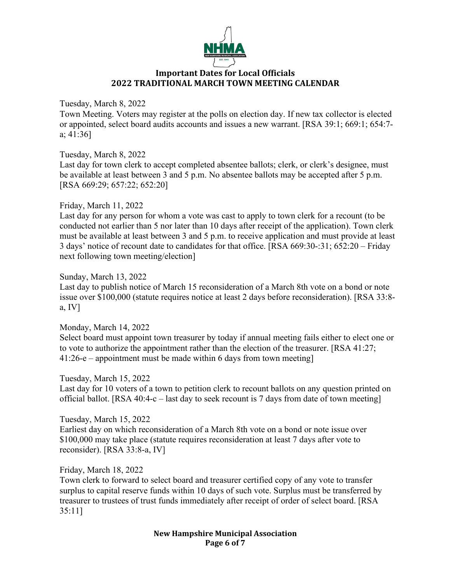

Tuesday, March 8, 2022

Town Meeting. Voters may register at the polls on election day. If new tax collector is elected or appointed, select board audits accounts and issues a new warrant. [RSA 39:1; 669:1; 654:7 a; 41:36]

Tuesday, March 8, 2022 Last day for town clerk to accept completed absentee ballots; clerk, or clerk's designee, must be available at least between 3 and 5 p.m. No absentee ballots may be accepted after 5 p.m. [RSA 669:29; 657:22; 652:20]

## Friday, March 11, 2022

Last day for any person for whom a vote was cast to apply to town clerk for a recount (to be conducted not earlier than 5 nor later than 10 days after receipt of the application). Town clerk must be available at least between 3 and 5 p.m. to receive application and must provide at least 3 days' notice of recount date to candidates for that office. [RSA 669:30-:31; 652:20 – Friday next following town meeting/election]

Sunday, March 13, 2022 Last day to publish notice of March 15 reconsideration of a March 8th vote on a bond or note issue over \$100,000 (statute requires notice at least 2 days before reconsideration). [RSA 33:8 a, IV]

Monday, March 14, 2022 Select board must appoint town treasurer by today if annual meeting fails either to elect one or to vote to authorize the appointment rather than the election of the treasurer. [RSA 41:27; 41:26-e – appointment must be made within 6 days from town meeting]

Tuesday, March 15, 2022

Last day for 10 voters of a town to petition clerk to recount ballots on any question printed on official ballot. [RSA 40:4-c – last day to seek recount is 7 days from date of town meeting]

Tuesday, March 15, 2022

Earliest day on which reconsideration of a March 8th vote on a bond or note issue over \$100,000 may take place (statute requires reconsideration at least 7 days after vote to reconsider). [RSA 33:8-a, IV]

Friday, March 18, 2022

Town clerk to forward to select board and treasurer certified copy of any vote to transfer surplus to capital reserve funds within 10 days of such vote. Surplus must be transferred by treasurer to trustees of trust funds immediately after receipt of order of select board. [RSA 35:11]

> **New Hampshire Municipal Association Page 6 of 7**